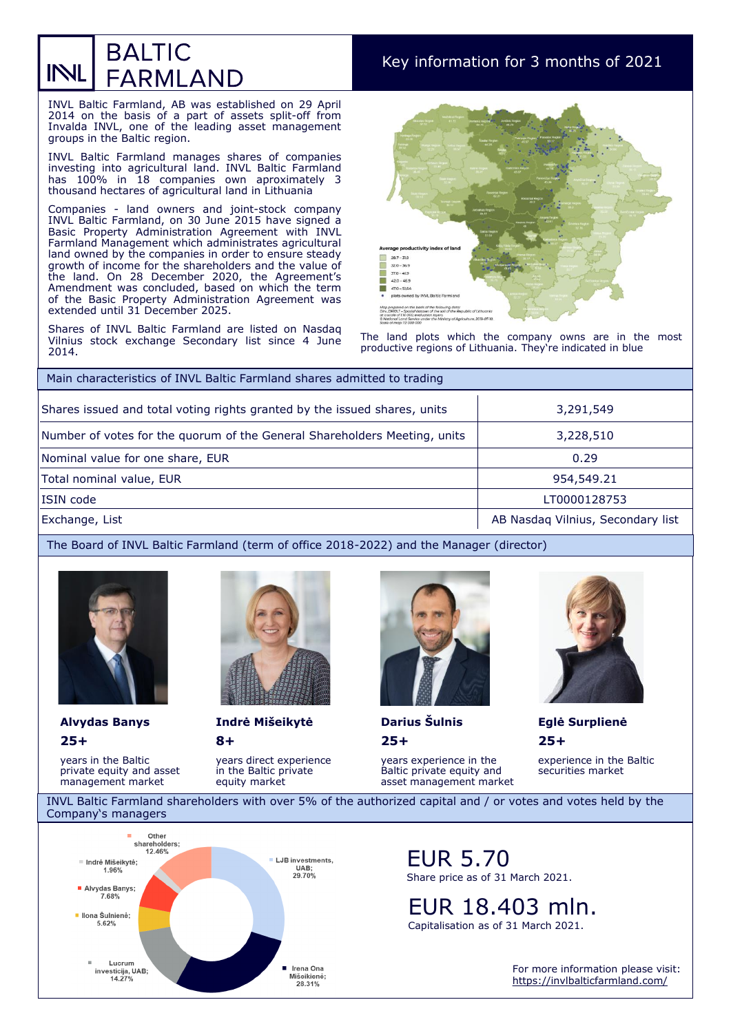## **BALTIC** INL **FARMLAND**

Key information for 3 months of 2021

INVL Baltic Farmland, AB was established on 29 April 2014 on the basis of a part of assets split-off from Invalda INVL, one of the leading asset management groups in the Baltic region.

INVL Baltic Farmland manages shares of companies investing into agricultural land. INVL Baltic Farmland has 100% in 18 companies own aproximately 3 thousand hectares of agricultural land in Lithuania

Companies - land owners and joint-stock company INVL Baltic Farmland, on 30 June 2015 have signed a Basic Property Administration Agreement with INVL Farmland Management which administrates agricultural land owned by the companies in order to ensure steady growth of income for the shareholders and the value of the land. On 28 December 2020, the Agreement's Amendment was concluded, based on which the term of the Basic Property Administration Agreement was extended until 31 December 2025.

Shares of INVL Baltic Farmland are listed on Nasdaq Vilnius stock exchange Secondary list since 4 June 2014.



The land plots which the company owns are in the most productive regions of Lithuania. They're indicated in blue

| Main characteristics of INVL Baltic Farmland shares admitted to trading   |                                   |  |  |
|---------------------------------------------------------------------------|-----------------------------------|--|--|
| Shares issued and total voting rights granted by the issued shares, units | 3,291,549                         |  |  |
| Number of votes for the quorum of the General Shareholders Meeting, units | 3,228,510                         |  |  |
| Nominal value for one share, EUR                                          | 0.29                              |  |  |
| Total nominal value, EUR                                                  | 954,549.21                        |  |  |
| ISIN code                                                                 | LT0000128753                      |  |  |
| Exchange, List                                                            | AB Nasdaq Vilnius, Secondary list |  |  |

The Board of INVL Baltic Farmland (term of office 2018-2022) and the Manager (director)



private equity and asset management market

**25+** 

years in the Baltic **8+ Alvydas Banys Indrė Mišeikytė Darius Šulnis Eglė Surplienė**

years direct experience in the Baltic private equity market



**25+** 

years experience in the Baltic private equity and asset management market



**25+** 

experience in the Baltic securities market

INVL Baltic Farmland shareholders with over 5% of the authorized capital and / or votes and votes held by the Company's managers



EUR 5.70 Share price as of 31 March 2021.

EUR 18.403 mln.

Capitalisation as of 31 March 2021.

For more information please visit: <https://invlbalticfarmland.com/>